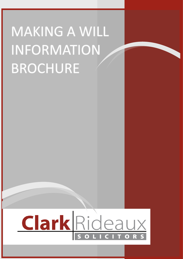# **MAKING A WILL** INFORMATION **BROCHURE**

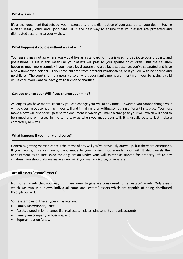It's a legal document that sets out your instructions for the distribution of your assets after your death. Having a clear, legally valid, and up-to-date will is the best way to ensure that your assets are protected and distributed according to your wishes.

#### **What happens if you die without a valid will?**

Your assets may not go where you would like as a standard formula is used to distribute your property and possessions. Usually, this means all your assets will pass to your spouse or children. But the situation becomes much more complex if you have a legal spouse and a de facto spouse (i.e. you've separated and have a new unmarried partner), if you have children from different relationships, or if you die with no spouse and no children. The court's formula usually also only lets your family members inherit from you. So having a valid will is vital if you want to leave gifts to friends or charities.

#### **Can you change your Will if you change your mind?**

As long as you have mental capacity you can change your will at any time . However, you cannot change your will by crossing out something in your will and initialling it, or writing something different in its place. You must make a new will or a codicil (a separate document in which you make a change to your will) which will need to be signed and witnessed in the same way as when you made your will. It is usually best to just make a completely new will.

#### **What happens if you marry or divorce?**

Generally, getting married cancels the terms of any will you've previously drawn up, but there are exceptions. If you divorce, it cancels any gift you made to your former spouse under your will. It also cancels their appointment as trustee, executor or guardian under your will, except as trustee for property left to any children. You should always make a new will if you marry, divorce, or separate.

#### **Are all assets "estate" assets?**

No, not all assets that you may think are yours to give are considered to be "estate" assets. Only assets which we own in our own individual name are "estate" assets which are capable of being distributed through our will.

Some examples of these types of assets are:

- Family Discretionary Trust;
- Assets owned in joint names (i.e. real estate held as joint tenants or bank accounts);
- Family run company or business; and
- Superannuation funds.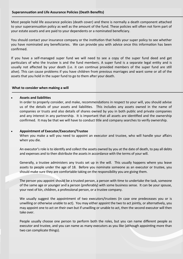Most people hold life assurance policies (death cover) and there is normally a death component attached to your superannuation policy as well as the amount of the fund. These policies will often not form part of your estate assets and are paid to your dependents or a nominated beneficiary.

You should contact your insurance company or the institution that holds your super policy to see whether you have nominated any beneficiaries. We can provide you with advice once this information has been confirmed.

If you have a self-managed super fund we will need to see a copy of the super fund deed and get particulars of who the trustee is and the fund members. A super fund is a separate legal entity and is usually not affected by your death (i.e. it can continue provided members of the super fund are still alive). This can cause problems if you have children from previous marriages and want some or all of the assets that you hold in the super fund to go to them after your death.

#### **What to consider when making a will**

#### • **Assets and liabilities**

In order to properly consider, and make, recommendations in respect to your will, you should advise us of the details of your assets and liabilities. This includes any assets owned in the name of companies or trusts and also details of shares owned by you in both public and private companies and any interest in any partnership. It is important that all assets are identified and the ownership confirmed. It may be that we will have to conduct title and company searches to verify ownership.

#### • **Appointment of Executor/Executors/Trustee**

When you make a will you need to appoint an executor and trustee, who will handle your affairs when you die.

An executor's role is to identify and collect the assets owned by you at the date of death, to pay all debts and expenses and to then distribute the assets in accordance with the terms of your will.

Generally, a trustee administers any trusts set up in the will. This usually happens where you leave assets to people under the age of 18. Before you nominate someone as an executor or trustee, you should make sure they are comfortable taking on the responsibility you are giving them.

The person you appoint should be a trusted person, a person with time to undertake the task, someone of the same age or younger and a person (preferably) with some business sense. It can be your spouse, your next of kin, children, a professional person, or a trustee company.

We usually suggest the appointment of two executors/trustees (in case one predeceases you or is unwilling or otherwise unable to act). You may either appoint the two to act jointly, or alternatively, you may appoint one to act on their own but if unwilling or unable to act, then the second executor will then take over.

People usually choose one person to perform both the roles, but you can name different people as executor and trustee, and you can name as many executors as you like (although appointing more than two can complicate things).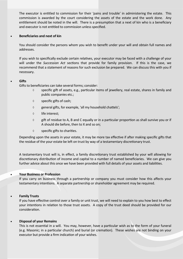The executor is entitled to commission for their 'pains and trouble' in administering the estate. This commission is awarded by the court considering the assets of the estate and the work done. Any entitlement should be noted in the will. There is a presumption that a next of kin who is a beneficiary and executor is not entitled to commission unless specified.

#### • **Beneficiaries and next of kin**

You should consider the persons whom you wish to benefit under your will and obtain full names and addresses.

If you wish to specifically exclude certain relatives, your executor may be faced with a challenge of your will under the *Succession Act* sections that provide for family provision. If this is the case, we recommend that a statement of reasons for such exclusion be prepared. We can discuss this with you if necessary.

#### • **Gifts**

Gifts to beneficiaries can take several forms; consider:

- $\Diamond$  specific gift of assets, e.g., particular items of jewellery, real estate, shares in family and public companies etc.;
- $\diamond$  specific gifts of cash;
- $\Diamond$  general gifts, for example, 'all my household chattels';
- life interest;
- $\Diamond$  gift of residue to A, B and C equally or in a particular proportion as shall survive you or if A should die before, then to X and so on;
- $\Diamond$  specific gifts to charities.

Depending upon the assets in your estate, it may be more tax effective if after making specific gifts that the residue of the your estate be left on trust by way of a testamentary discretionary trust.

A testamentary trust will is, in effect, a family discretionary trust established by your will allowing for discretionary distribution of income and capital to a number of named beneficiaries. We can give you further advice about this once we have been provided with full details of your assets and liabilities.

#### • **Your Business or Profession**

If you carry on business through a partnership or company you must consider how this affects your testamentary intentions. A separate partnership or shareholder agreement may be required.

### • **Family Trusts**

If you have effective control over a family or unit trust, we will need to explain to you how best to effect your intentions in relation to those trust assets. A copy of the trust deed should be provided for our consideration.

#### • **Disposal of your Remains**

This is not essential in a will. You may, however, have a particular wish as to the form of your funeral (e.g. Masonic; in a particular church) and burial (or cremation). These wishes are not binding on your executor but provide a firm indication of your wishes.